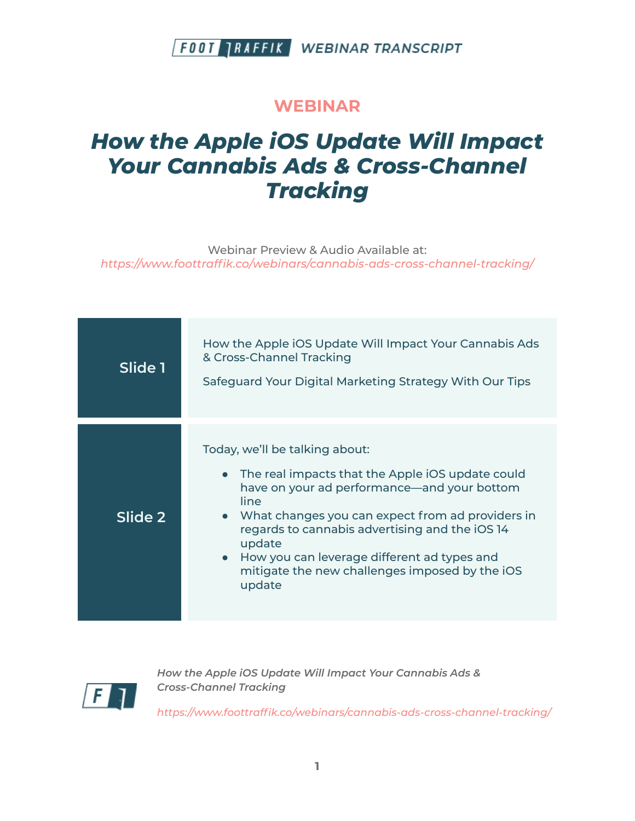#### **WEBINAR**

# *How the Apple iOS Update Will Impact Your Cannabis Ads & Cross-Channel Tracking*

Webinar Preview & Audio Available at: *https:/ www.foottraffik.co/webinars/cannabis-ads-cross-channel-tracking/*

| Slide 1 | How the Apple iOS Update Will Impact Your Cannabis Ads<br>& Cross-Channel Tracking<br>Safeguard Your Digital Marketing Strategy With Our Tips                                                                                                                                                                                                                                         |
|---------|---------------------------------------------------------------------------------------------------------------------------------------------------------------------------------------------------------------------------------------------------------------------------------------------------------------------------------------------------------------------------------------|
| Slide 2 | Today, we'll be talking about:<br>The real impacts that the Apple iOS update could<br>$\bullet$<br>have on your ad performance—and your bottom<br>line<br>• What changes you can expect from ad providers in<br>regards to cannabis advertising and the iOS 14<br>update<br>• How you can leverage different ad types and<br>mitigate the new challenges imposed by the iOS<br>update |



*How the Apple iOS Update Will Impact Your Cannabis Ads & Cross-Channel Tracking*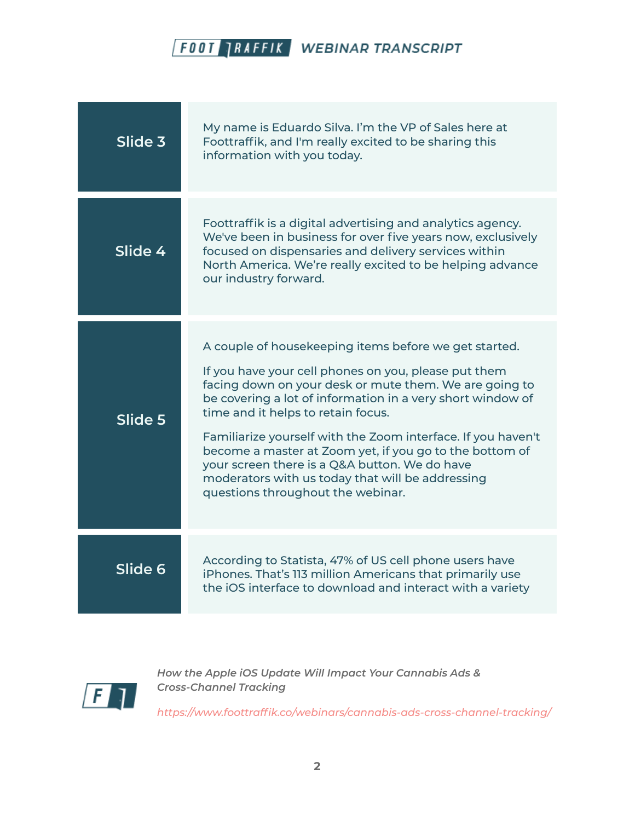| Slide 3 | My name is Eduardo Silva. I'm the VP of Sales here at<br>Foottraffik, and I'm really excited to be sharing this<br>information with you today.                                                                                                                                                                                                                                                                                                                                                                                                   |
|---------|--------------------------------------------------------------------------------------------------------------------------------------------------------------------------------------------------------------------------------------------------------------------------------------------------------------------------------------------------------------------------------------------------------------------------------------------------------------------------------------------------------------------------------------------------|
| Slide 4 | Foottraffik is a digital advertising and analytics agency.<br>We've been in business for over five years now, exclusively<br>focused on dispensaries and delivery services within<br>North America. We're really excited to be helping advance<br>our industry forward.                                                                                                                                                                                                                                                                          |
| Slide 5 | A couple of housekeeping items before we get started.<br>If you have your cell phones on you, please put them<br>facing down on your desk or mute them. We are going to<br>be covering a lot of information in a very short window of<br>time and it helps to retain focus.<br>Familiarize yourself with the Zoom interface. If you haven't<br>become a master at Zoom yet, if you go to the bottom of<br>your screen there is a Q&A button. We do have<br>moderators with us today that will be addressing<br>questions throughout the webinar. |
| Slide 6 | According to Statista, 47% of US cell phone users have<br>iPhones. That's 113 million Americans that primarily use<br>the iOS interface to download and interact with a variety                                                                                                                                                                                                                                                                                                                                                                  |



*How the Apple iOS Update Will Impact Your Cannabis Ads & Cross-Channel Tracking*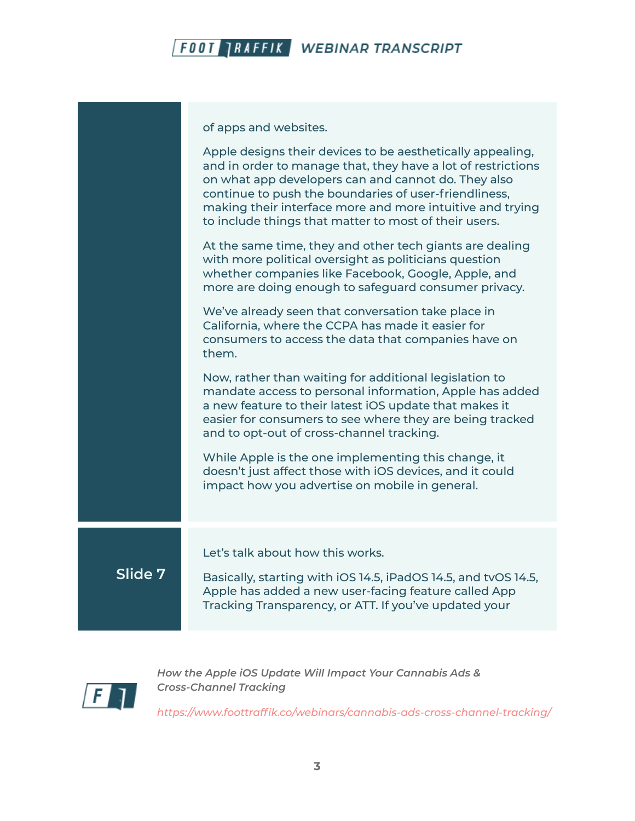

of apps and websites.

|         | Apple designs their devices to be aesthetically appealing,<br>and in order to manage that, they have a lot of restrictions<br>on what app developers can and cannot do. They also                                                                                                    |
|---------|--------------------------------------------------------------------------------------------------------------------------------------------------------------------------------------------------------------------------------------------------------------------------------------|
|         | continue to push the boundaries of user-friendliness,<br>making their interface more and more intuitive and trying<br>to include things that matter to most of their users.                                                                                                          |
|         | At the same time, they and other tech giants are dealing<br>with more political oversight as politicians question<br>whether companies like Facebook, Google, Apple, and<br>more are doing enough to safeguard consumer privacy.                                                     |
|         | We've already seen that conversation take place in<br>California, where the CCPA has made it easier for<br>consumers to access the data that companies have on<br>them.                                                                                                              |
|         | Now, rather than waiting for additional legislation to<br>mandate access to personal information, Apple has added<br>a new feature to their latest iOS update that makes it<br>easier for consumers to see where they are being tracked<br>and to opt-out of cross-channel tracking. |
|         | While Apple is the one implementing this change, it<br>doesn't just affect those with iOS devices, and it could<br>impact how you advertise on mobile in general.                                                                                                                    |
|         | Let's talk about how this works.                                                                                                                                                                                                                                                     |
| Slide 7 | Basically, starting with iOS 14.5, iPadOS 14.5, and tvOS 14.5,<br>Apple has added a new user-facing feature called App<br>Tracking Transparency, or ATT. If you've updated your                                                                                                      |
|         |                                                                                                                                                                                                                                                                                      |



*How the Apple iOS Update Will Impact Your Cannabis Ads & Cross-Channel Tracking*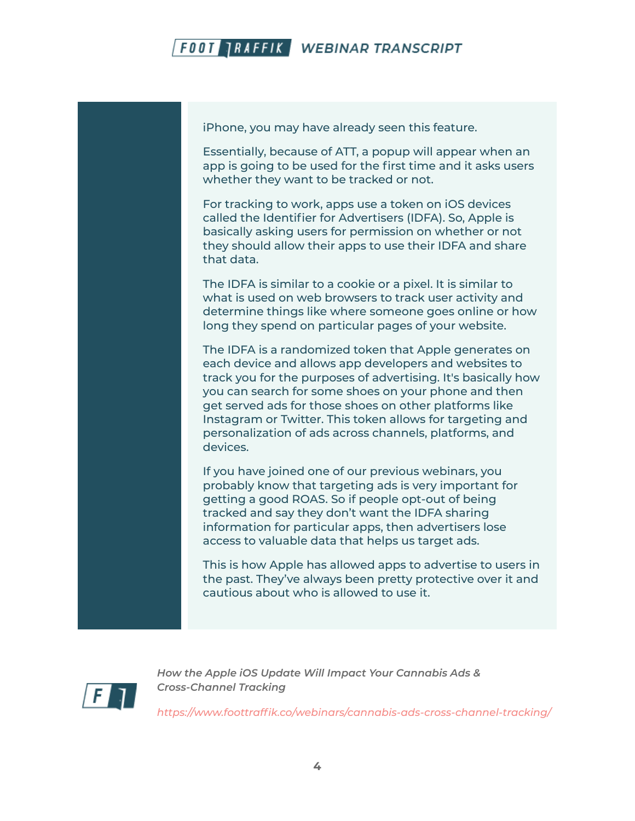

iPhone, you may have already seen this feature.

Essentially, because of ATT, a popup will appear when an app is going to be used for the first time and it asks users whether they want to be tracked or not.

For tracking to work, apps use a token on iOS devices called the Identifier for Advertisers (IDFA). So, Apple is basically asking users for permission on whether or not they should allow their apps to use their IDFA and share that data.

The IDFA is similar to a cookie or a pixel. It is similar to what is used on web browsers to track user activity and determine things like where someone goes online or how long they spend on particular pages of your website.

The IDFA is a randomized token that Apple generates on each device and allows app developers and websites to track you for the purposes of advertising. It's basically how you can search for some shoes on your phone and then get served ads for those shoes on other platforms like Instagram or Twitter. This token allows for targeting and personalization of ads across channels, platforms, and devices.

If you have joined one of our previous webinars, you probably know that targeting ads is very important for getting a good ROAS. So if people opt-out of being tracked and say they don't want the IDFA sharing information for particular apps, then advertisers lose access to valuable data that helps us target ads.

This is how Apple has allowed apps to advertise to users in the past. They've always been pretty protective over it and cautious about who is allowed to use it.



*How the Apple iOS Update Will Impact Your Cannabis Ads & Cross-Channel Tracking*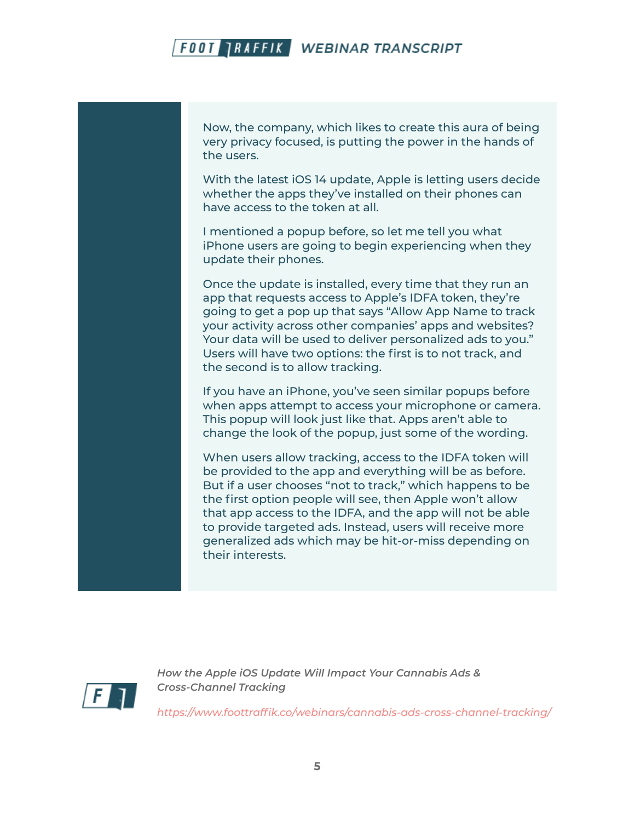Now, the company, which likes to create this aura of being very privacy focused, is putting the power in the hands of the users.

With the latest iOS 14 update, Apple is letting users decide whether the apps they've installed on their phones can have access to the token at all.

I mentioned a popup before, so let me tell you what iPhone users are going to begin experiencing when they update their phones.

Once the update is installed, every time that they run an app that requests access to Apple's IDFA token, they're going to get a pop up that says "Allow App Name to track your activity across other companies' apps and websites? Your data will be used to deliver personalized ads to you." Users will have two options: the first is to not track, and the second is to allow tracking.

If you have an iPhone, you've seen similar popups before when apps attempt to access your microphone or camera. This popup will look just like that. Apps aren't able to change the look of the popup, just some of the wording.

When users allow tracking, access to the IDFA token will be provided to the app and everything will be as before. But if a user chooses "not to track," which happens to be the first option people will see, then Apple won't allow that app access to the IDFA, and the app will not be able to provide targeted ads. Instead, users will receive more generalized ads which may be hit-or-miss depending on their interests.



*How the Apple iOS Update Will Impact Your Cannabis Ads & Cross-Channel Tracking*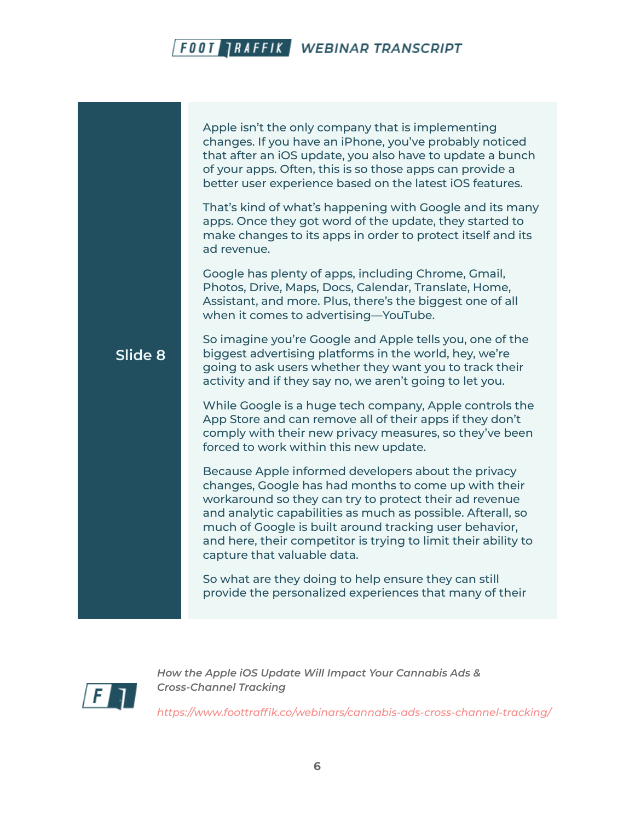**Slide 8** Apple isn't the only company that is implementing changes. If you have an iPhone, you've probably noticed that after an iOS update, you also have to update a bunch of your apps. Often, this is so those apps can provide a better user experience based on the latest iOS features. That's kind of what's happening with Google and its many apps. Once they got word of the update, they started to make changes to its apps in order to protect itself and its ad revenue. Google has plenty of apps, including Chrome, Gmail, Photos, Drive, Maps, Docs, Calendar, Translate, Home, Assistant, and more. Plus, there's the biggest one of all when it comes to advertising—YouTube. So imagine you're Google and Apple tells you, one of the biggest advertising platforms in the world, hey, we're going to ask users whether they want you to track their activity and if they say no, we aren't going to let you. While Google is a huge tech company, Apple controls the App Store and can remove all of their apps if they don't comply with their new privacy measures, so they've been forced to work within this new update. Because Apple informed developers about the privacy changes, Google has had months to come up with their workaround so they can try to protect their ad revenue and analytic capabilities as much as possible. Afterall, so much of Google is built around tracking user behavior, and here, their competitor is trying to limit their ability to capture that valuable data. So what are they doing to help ensure they can still provide the personalized experiences that many of their



*How the Apple iOS Update Will Impact Your Cannabis Ads & Cross-Channel Tracking*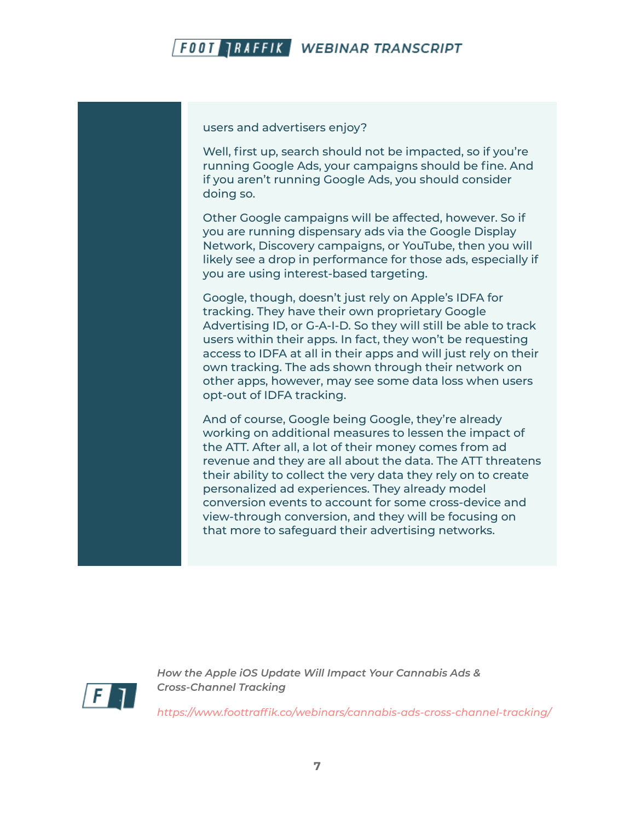

users and advertisers enjoy?

Well, first up, search should not be impacted, so if you're running Google Ads, your campaigns should be fine. And if you aren't running Google Ads, you should consider doing so.

Other Google campaigns will be affected, however. So if you are running dispensary ads via the Google Display Network, Discovery campaigns, or YouTube, then you will likely see a drop in performance for those ads, especially if you are using interest-based targeting.

Google, though, doesn't just rely on Apple's IDFA for tracking. They have their own proprietary Google Advertising ID, or G-A-I-D. So they will still be able to track users within their apps. In fact, they won't be requesting access to IDFA at all in their apps and will just rely on their own tracking. The ads shown through their network on other apps, however, may see some data loss when users opt-out of IDFA tracking.

And of course, Google being Google, they're already working on additional measures to lessen the impact of the ATT. After all, a lot of their money comes from ad revenue and they are all about the data. The ATT threatens their ability to collect the very data they rely on to create personalized ad experiences. They already model conversion events to account for some cross-device and view-through conversion, and they will be focusing on that more to safeguard their advertising networks.



*How the Apple iOS Update Will Impact Your Cannabis Ads & Cross-Channel Tracking*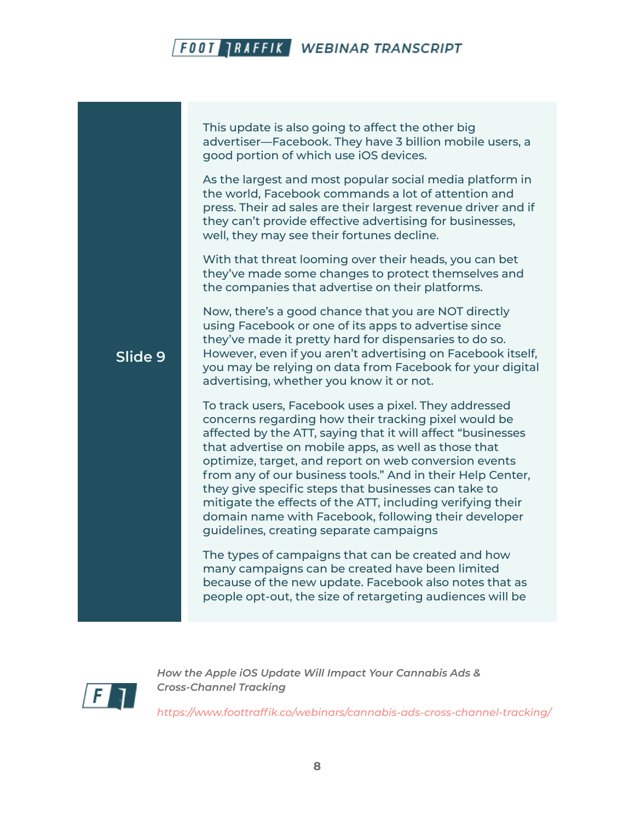This update is also going to affect the other big advertiser—Facebook. They have 3 billion mobile users, a good portion of which use iOS devices.

As the largest and most popular social media platform in the world, Facebook commands a lot of attention and press. Their ad sales are their largest revenue driver and if they can't provide effective advertising for businesses, well, they may see their fortunes decline.

With that threat looming over their heads, you can bet they've made some changes to protect themselves and the companies that advertise on their platforms.

Now, there's a good chance that you are NOT directly using Facebook or one of its apps to advertise since they've made it pretty hard for dispensaries to do so. However, even if you aren't advertising on Facebook itself, you may be relying on data from Facebook for your digital advertising, whether you know it or not.

To track users, Facebook uses a pixel. They addressed concerns regarding how their tracking pixel would be affected by the ATT, saying that it will affect "businesses that advertise on mobile apps, as well as those that optimize, target, and report on web conversion events from any of our business tools." And in their Help Center, they give specific steps that businesses can take to mitigate the effects of the ATT, including verifying their domain name with Facebook, following their developer guidelines, creating separate campaigns

The types of campaigns that can be created and how many campaigns can be created have been limited because of the new update. Facebook also notes that as people opt-out, the size of retargeting audiences will be



**Slide 9**

*How the Apple iOS Update Will Impact Your Cannabis Ads & Cross-Channel Tracking*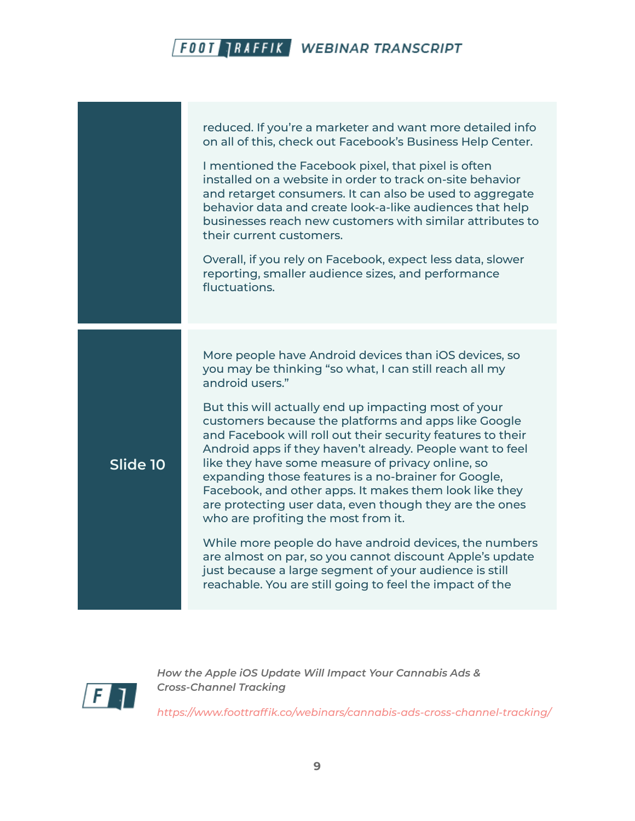|          | reduced. If you're a marketer and want more detailed info<br>on all of this, check out Facebook's Business Help Center.<br>I mentioned the Facebook pixel, that pixel is often<br>installed on a website in order to track on-site behavior<br>and retarget consumers. It can also be used to aggregate<br>behavior data and create look-a-like audiences that help<br>businesses reach new customers with similar attributes to<br>their current customers.<br>Overall, if you rely on Facebook, expect less data, slower<br>reporting, smaller audience sizes, and performance<br>fluctuations.                                                                                                                                                                                                                                                                                                   |
|----------|-----------------------------------------------------------------------------------------------------------------------------------------------------------------------------------------------------------------------------------------------------------------------------------------------------------------------------------------------------------------------------------------------------------------------------------------------------------------------------------------------------------------------------------------------------------------------------------------------------------------------------------------------------------------------------------------------------------------------------------------------------------------------------------------------------------------------------------------------------------------------------------------------------|
| Slide 10 | More people have Android devices than iOS devices, so<br>you may be thinking "so what, I can still reach all my<br>android users."<br>But this will actually end up impacting most of your<br>customers because the platforms and apps like Google<br>and Facebook will roll out their security features to their<br>Android apps if they haven't already. People want to feel<br>like they have some measure of privacy online, so<br>expanding those features is a no-brainer for Google,<br>Facebook, and other apps. It makes them look like they<br>are protecting user data, even though they are the ones<br>who are profiting the most from it.<br>While more people do have android devices, the numbers<br>are almost on par, so you cannot discount Apple's update<br>just because a large segment of your audience is still<br>reachable. You are still going to feel the impact of the |



*How the Apple iOS Update Will Impact Your Cannabis Ads & Cross-Channel Tracking*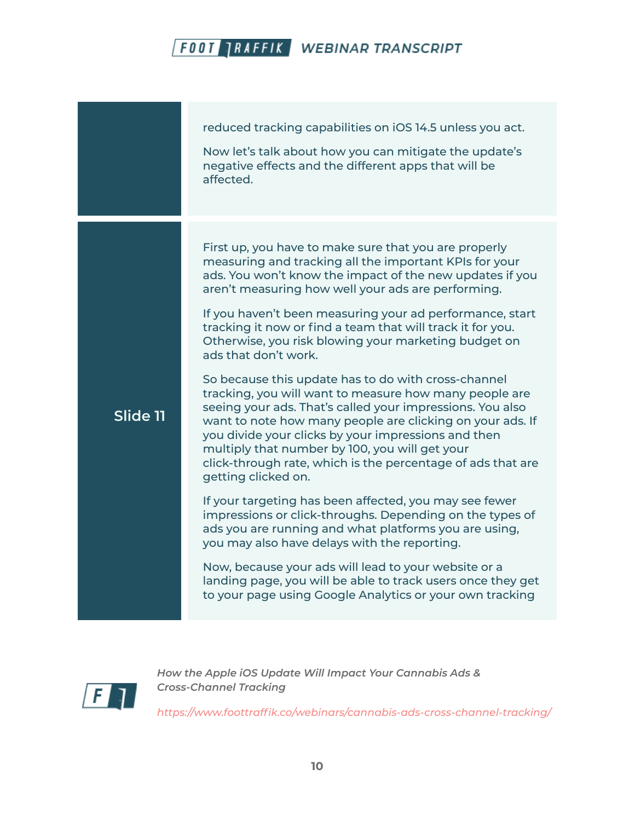|          | reduced tracking capabilities on iOS 14.5 unless you act.<br>Now let's talk about how you can mitigate the update's<br>negative effects and the different apps that will be<br>affected.                                                                                                                                                                                                                                                                                                                                                                                                                                                                                                                                                                                                                                                                                                                                                                                                                                                                                                                                                                                                                                                                                                                |
|----------|---------------------------------------------------------------------------------------------------------------------------------------------------------------------------------------------------------------------------------------------------------------------------------------------------------------------------------------------------------------------------------------------------------------------------------------------------------------------------------------------------------------------------------------------------------------------------------------------------------------------------------------------------------------------------------------------------------------------------------------------------------------------------------------------------------------------------------------------------------------------------------------------------------------------------------------------------------------------------------------------------------------------------------------------------------------------------------------------------------------------------------------------------------------------------------------------------------------------------------------------------------------------------------------------------------|
| Slide 11 | First up, you have to make sure that you are properly<br>measuring and tracking all the important KPIs for your<br>ads. You won't know the impact of the new updates if you<br>aren't measuring how well your ads are performing.<br>If you haven't been measuring your ad performance, start<br>tracking it now or find a team that will track it for you.<br>Otherwise, you risk blowing your marketing budget on<br>ads that don't work.<br>So because this update has to do with cross-channel<br>tracking, you will want to measure how many people are<br>seeing your ads. That's called your impressions. You also<br>want to note how many people are clicking on your ads. If<br>you divide your clicks by your impressions and then<br>multiply that number by 100, you will get your<br>click-through rate, which is the percentage of ads that are<br>getting clicked on.<br>If your targeting has been affected, you may see fewer<br>impressions or click-throughs. Depending on the types of<br>ads you are running and what platforms you are using,<br>you may also have delays with the reporting.<br>Now, because your ads will lead to your website or a<br>landing page, you will be able to track users once they get<br>to your page using Google Analytics or your own tracking |



*How the Apple iOS Update Will Impact Your Cannabis Ads & Cross-Channel Tracking*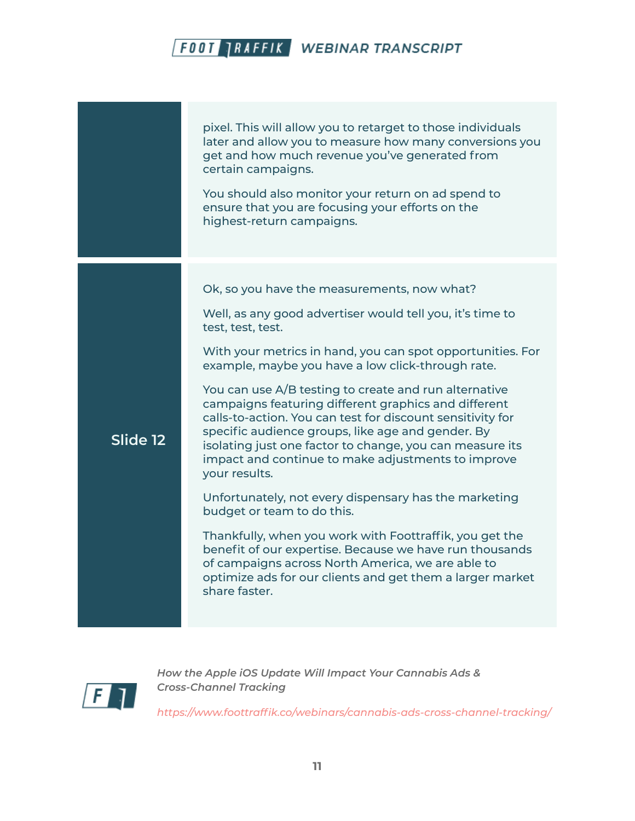pixel. This will allow you to retarget to those individuals later and allow you to measure how many conversions you get and how much revenue you've generated from certain campaigns. You should also monitor your return on ad spend to ensure that you are focusing your efforts on the highest-return campaigns. **Slide 12** Ok, so you have the measurements, now what? Well, as any good advertiser would tell you, it's time to test, test, test. With your metrics in hand, you can spot opportunities. For example, maybe you have a low click-through rate. You can use A/B testing to create and run alternative campaigns featuring different graphics and different calls-to-action. You can test for discount sensitivity for specific audience groups, like age and gender. By isolating just one factor to change, you can measure its impact and continue to make adjustments to improve your results. Unfortunately, not every dispensary has the marketing budget or team to do this. Thankfully, when you work with Foottraffik, you get the benefit of our expertise. Because we have run thousands of campaigns across North America, we are able to optimize ads for our clients and get them a larger market share faster.



*How the Apple iOS Update Will Impact Your Cannabis Ads & Cross-Channel Tracking*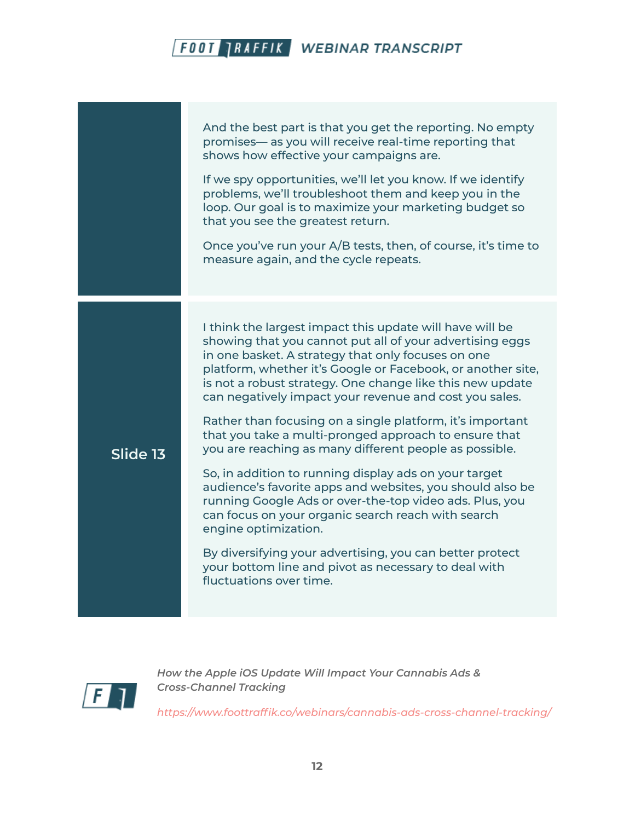|          | And the best part is that you get the reporting. No empty<br>promises— as you will receive real-time reporting that<br>shows how effective your campaigns are.<br>If we spy opportunities, we'll let you know. If we identify<br>problems, we'll troubleshoot them and keep you in the<br>loop. Our goal is to maximize your marketing budget so<br>that you see the greatest return.<br>Once you've run your A/B tests, then, of course, it's time to<br>measure again, and the cycle repeats.                                                                                                                                                                                                                                                                                                                                                                                                                                                                |
|----------|----------------------------------------------------------------------------------------------------------------------------------------------------------------------------------------------------------------------------------------------------------------------------------------------------------------------------------------------------------------------------------------------------------------------------------------------------------------------------------------------------------------------------------------------------------------------------------------------------------------------------------------------------------------------------------------------------------------------------------------------------------------------------------------------------------------------------------------------------------------------------------------------------------------------------------------------------------------|
| Slide 13 | I think the largest impact this update will have will be<br>showing that you cannot put all of your advertising eggs<br>in one basket. A strategy that only focuses on one<br>platform, whether it's Google or Facebook, or another site,<br>is not a robust strategy. One change like this new update<br>can negatively impact your revenue and cost you sales.<br>Rather than focusing on a single platform, it's important<br>that you take a multi-pronged approach to ensure that<br>you are reaching as many different people as possible.<br>So, in addition to running display ads on your target<br>audience's favorite apps and websites, you should also be<br>running Google Ads or over-the-top video ads. Plus, you<br>can focus on your organic search reach with search<br>engine optimization.<br>By diversifying your advertising, you can better protect<br>your bottom line and pivot as necessary to deal with<br>fluctuations over time. |



*How the Apple iOS Update Will Impact Your Cannabis Ads & Cross-Channel Tracking*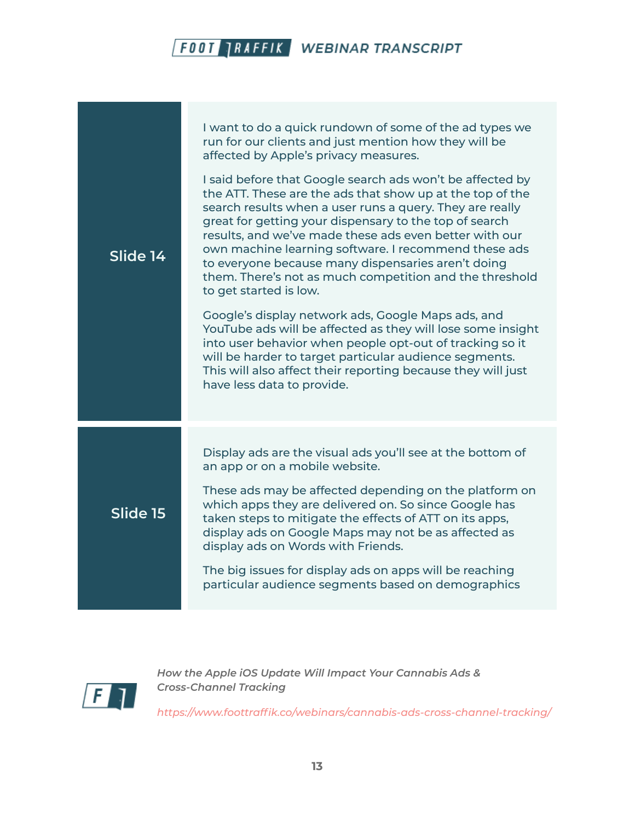**Slide 14** I want to do a quick rundown of some of the ad types we run for our clients and just mention how they will be affected by Apple's privacy measures. I said before that Google search ads won't be affected by the ATT. These are the ads that show up at the top of the search results when a user runs a query. They are really great for getting your dispensary to the top of search results, and we've made these ads even better with our own machine learning software. I recommend these ads to everyone because many dispensaries aren't doing them. There's not as much competition and the threshold to get started is low. Google's display network ads, Google Maps ads, and YouTube ads will be affected as they will lose some insight into user behavior when people opt-out of tracking so it will be harder to target particular audience segments. This will also affect their reporting because they will just have less data to provide. **Slide 15** Display ads are the visual ads you'll see at the bottom of an app or on a mobile website. These ads may be affected depending on the platform on which apps they are delivered on. So since Google has taken steps to mitigate the effects of ATT on its apps, display ads on Google Maps may not be as affected as display ads on Words with Friends. The big issues for display ads on apps will be reaching particular audience segments based on demographics



*How the Apple iOS Update Will Impact Your Cannabis Ads & Cross-Channel Tracking*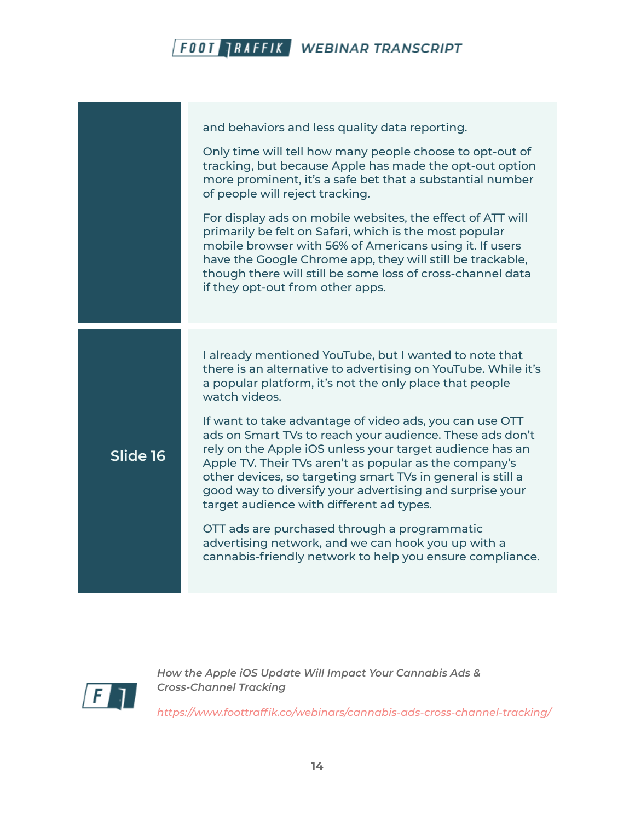|          | and behaviors and less quality data reporting.<br>Only time will tell how many people choose to opt-out of<br>tracking, but because Apple has made the opt-out option<br>more prominent, it's a safe bet that a substantial number<br>of people will reject tracking.<br>For display ads on mobile websites, the effect of ATT will<br>primarily be felt on Safari, which is the most popular<br>mobile browser with 56% of Americans using it. If users<br>have the Google Chrome app, they will still be trackable,<br>though there will still be some loss of cross-channel data<br>if they opt-out from other apps.                                                                                                                                                                   |
|----------|-------------------------------------------------------------------------------------------------------------------------------------------------------------------------------------------------------------------------------------------------------------------------------------------------------------------------------------------------------------------------------------------------------------------------------------------------------------------------------------------------------------------------------------------------------------------------------------------------------------------------------------------------------------------------------------------------------------------------------------------------------------------------------------------|
| Slide 16 | I already mentioned YouTube, but I wanted to note that<br>there is an alternative to advertising on YouTube. While it's<br>a popular platform, it's not the only place that people<br>watch videos.<br>If want to take advantage of video ads, you can use OTT<br>ads on Smart TVs to reach your audience. These ads don't<br>rely on the Apple iOS unless your target audience has an<br>Apple TV. Their TVs aren't as popular as the company's<br>other devices, so targeting smart TVs in general is still a<br>good way to diversify your advertising and surprise your<br>target audience with different ad types.<br>OTT ads are purchased through a programmatic<br>advertising network, and we can hook you up with a<br>cannabis-friendly network to help you ensure compliance. |



*How the Apple iOS Update Will Impact Your Cannabis Ads & Cross-Channel Tracking*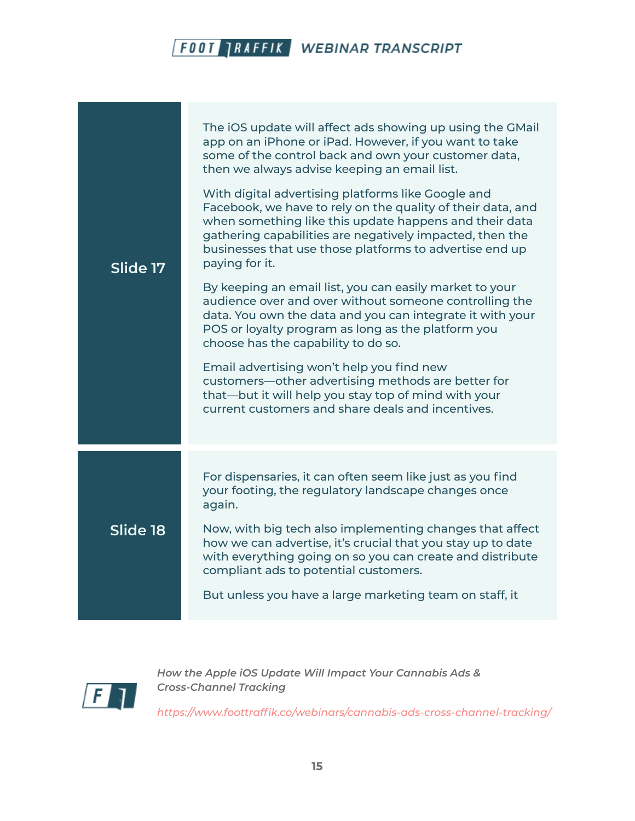| Slide 17 | The iOS update will affect ads showing up using the GMail<br>app on an iPhone or iPad. However, if you want to take<br>some of the control back and own your customer data,<br>then we always advise keeping an email list.<br>With digital advertising platforms like Google and<br>Facebook, we have to rely on the quality of their data, and<br>when something like this update happens and their data<br>gathering capabilities are negatively impacted, then the<br>businesses that use those platforms to advertise end up<br>paying for it.<br>By keeping an email list, you can easily market to your<br>audience over and over without someone controlling the<br>data. You own the data and you can integrate it with your<br>POS or loyalty program as long as the platform you<br>choose has the capability to do so.<br>Email advertising won't help you find new<br>customers—other advertising methods are better for<br>that—but it will help you stay top of mind with your<br>current customers and share deals and incentives. |
|----------|----------------------------------------------------------------------------------------------------------------------------------------------------------------------------------------------------------------------------------------------------------------------------------------------------------------------------------------------------------------------------------------------------------------------------------------------------------------------------------------------------------------------------------------------------------------------------------------------------------------------------------------------------------------------------------------------------------------------------------------------------------------------------------------------------------------------------------------------------------------------------------------------------------------------------------------------------------------------------------------------------------------------------------------------------|
| Slide 18 | For dispensaries, it can often seem like just as you find<br>your footing, the regulatory landscape changes once<br>again.<br>Now, with big tech also implementing changes that affect<br>how we can advertise, it's crucial that you stay up to date<br>with everything going on so you can create and distribute<br>compliant ads to potential customers.<br>But unless you have a large marketing team on staff, it                                                                                                                                                                                                                                                                                                                                                                                                                                                                                                                                                                                                                             |



*How the Apple iOS Update Will Impact Your Cannabis Ads & Cross-Channel Tracking*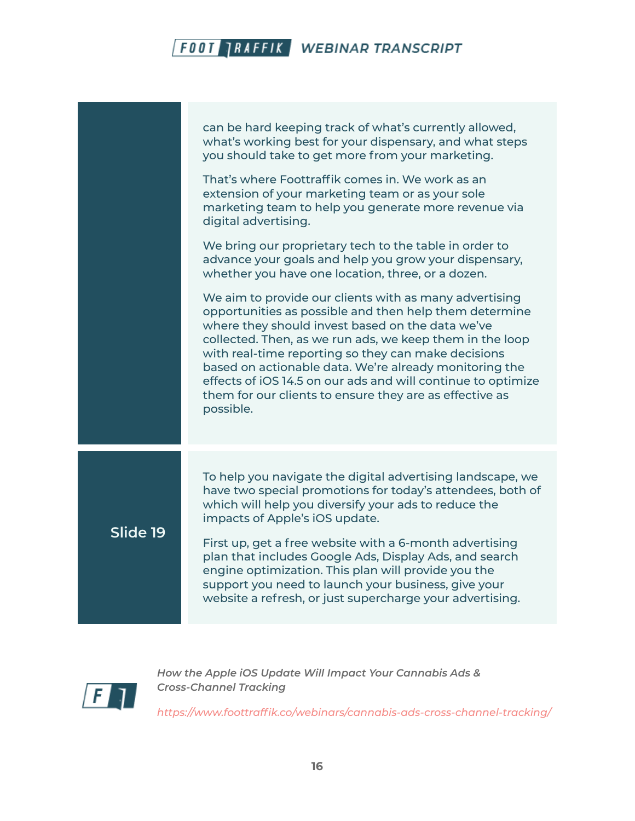|          | can be hard keeping track of what's currently allowed,<br>what's working best for your dispensary, and what steps<br>you should take to get more from your marketing.<br>That's where Foottraffik comes in. We work as an<br>extension of your marketing team or as your sole                                                                                                                                                                                                                                                                  |
|----------|------------------------------------------------------------------------------------------------------------------------------------------------------------------------------------------------------------------------------------------------------------------------------------------------------------------------------------------------------------------------------------------------------------------------------------------------------------------------------------------------------------------------------------------------|
|          | marketing team to help you generate more revenue via<br>digital advertising.<br>We bring our proprietary tech to the table in order to<br>advance your goals and help you grow your dispensary,                                                                                                                                                                                                                                                                                                                                                |
|          | whether you have one location, three, or a dozen.<br>We aim to provide our clients with as many advertising<br>opportunities as possible and then help them determine<br>where they should invest based on the data we've<br>collected. Then, as we run ads, we keep them in the loop<br>with real-time reporting so they can make decisions<br>based on actionable data. We're already monitoring the<br>effects of iOS 14.5 on our ads and will continue to optimize<br>them for our clients to ensure they are as effective as<br>possible. |
|          |                                                                                                                                                                                                                                                                                                                                                                                                                                                                                                                                                |
| Slide 19 | To help you navigate the digital advertising landscape, we<br>have two special promotions for today's attendees, both of<br>which will help you diversify your ads to reduce the<br>impacts of Apple's iOS update.                                                                                                                                                                                                                                                                                                                             |
|          | First up, get a free website with a 6-month advertising<br>plan that includes Google Ads, Display Ads, and search<br>engine optimization. This plan will provide you the<br>support you need to launch your business, give your<br>website a refresh, or just supercharge your advertising.                                                                                                                                                                                                                                                    |



*How the Apple iOS Update Will Impact Your Cannabis Ads & Cross-Channel Tracking*